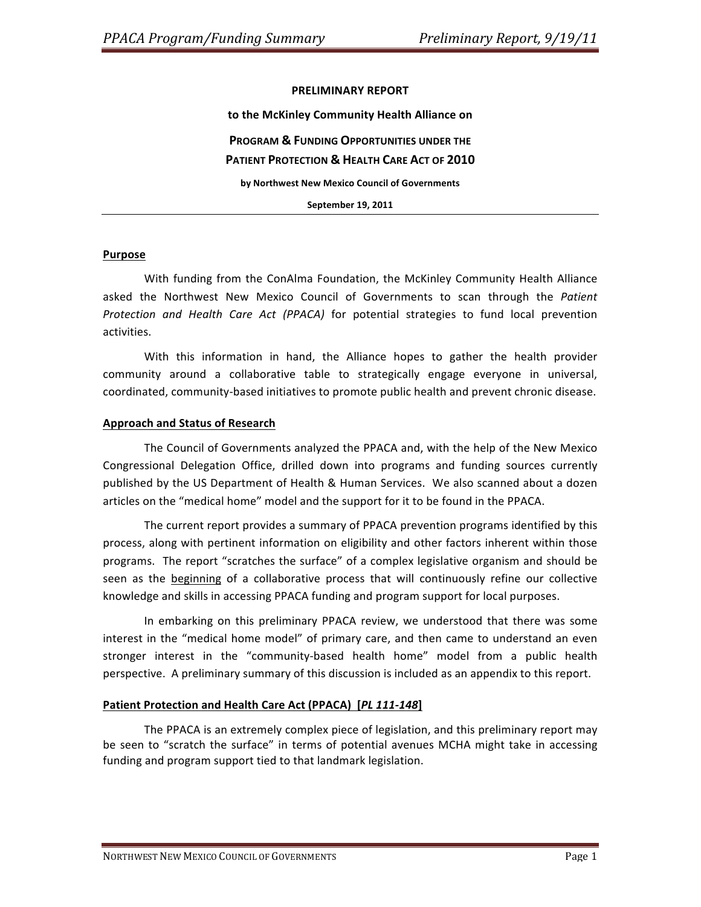#### **PRELIMINARY REPORT**

to the McKinley Community Health Alliance on **PROGRAM & FUNDING OPPORTUNITIES UNDER THE PATIENT PROTECTION & HEALTH CARE ACT OF 2010** by Northwest New Mexico Council of Governments

**September 19, 2011** 

#### **Purpose**

With funding from the ConAlma Foundation, the McKinley Community Health Alliance asked the Northwest New Mexico Council of Governments to scan through the Patient Protection and Health Care Act (PPACA) for potential strategies to fund local prevention activities.

With this information in hand, the Alliance hopes to gather the health provider community around a collaborative table to strategically engage everyone in universal, coordinated, community-based initiatives to promote public health and prevent chronic disease.

#### **Approach\*and Status\*of\*Research**

The Council of Governments analyzed the PPACA and, with the help of the New Mexico Congressional Delegation Office, drilled down into programs and funding sources currently published by the US Department of Health & Human Services. We also scanned about a dozen articles on the "medical home" model and the support for it to be found in the PPACA.

The current report provides a summary of PPACA prevention programs identified by this process, along with pertinent information on eligibility and other factors inherent within those programs. The report "scratches the surface" of a complex legislative organism and should be seen as the beginning of a collaborative process that will continuously refine our collective knowledge and skills in accessing PPACA funding and program support for local purposes.

In embarking on this preliminary PPACA review, we understood that there was some interest in the "medical home model" of primary care, and then came to understand an even stronger interest in the "community-based health home" model from a public health perspective. A preliminary summary of this discussion is included as an appendix to this report.

## Patient Protection and Health Care Act (PPACA) [PL 111-148]

The PPACA is an extremely complex piece of legislation, and this preliminary report may be seen to "scratch the surface" in terms of potential avenues MCHA might take in accessing funding and program support tied to that landmark legislation.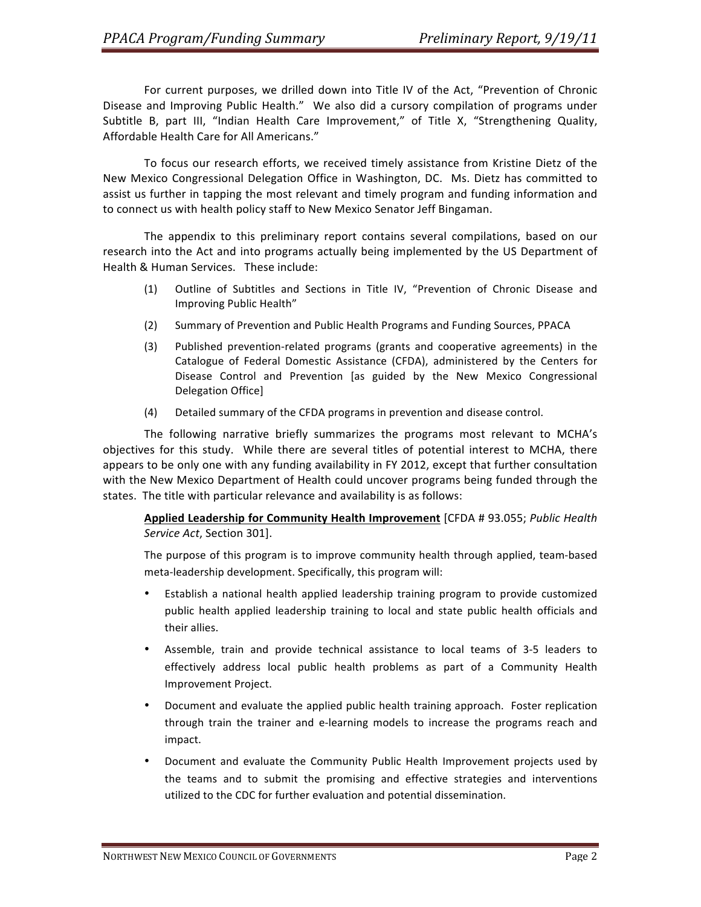For current purposes, we drilled down into Title IV of the Act, "Prevention of Chronic Disease and Improving Public Health." We also did a cursory compilation of programs under Subtitle B, part III, "Indian Health Care Improvement," of Title X, "Strengthening Quality, Affordable Health Care for All Americans."

To focus our research efforts, we received timely assistance from Kristine Dietz of the New Mexico Congressional Delegation Office in Washington, DC. Ms. Dietz has committed to assist us further in tapping the most relevant and timely program and funding information and to connect us with health policy staff to New Mexico Senator Jeff Bingaman.

The appendix to this preliminary report contains several compilations, based on our research into the Act and into programs actually being implemented by the US Department of Health & Human Services. These include:

- (1) Outline of Subtitles and Sections in Title IV, "Prevention of Chronic Disease and Improving Public Health"
- (2) Summary of Prevention and Public Health Programs and Funding Sources, PPACA
- (3) Published prevention-related programs (grants and cooperative agreements) in the Catalogue of Federal Domestic Assistance (CFDA), administered by the Centers for Disease Control and Prevention [as guided by the New Mexico Congressional Delegation Office]
- (4) Detailed summary of the CFDA programs in prevention and disease control.

The following narrative briefly summarizes the programs most relevant to MCHA's objectives for this study. While there are several titles of potential interest to MCHA, there appears to be only one with any funding availability in FY 2012, except that further consultation with the New Mexico Department of Health could uncover programs being funded through the states. The title with particular relevance and availability is as follows:

Applied Leadership for Community Health Improvement [CFDA # 93.055; *Public Health Service Act*, Section 301].

The purpose of this program is to improve community health through applied, team-based meta-leadership development. Specifically, this program will:

- Establish a national health applied leadership training program to provide customized public health applied leadership training to local and state public health officials and their allies.
- Assemble, train and provide technical assistance to local teams of 3-5 leaders to effectively address local public health problems as part of a Community Health Improvement Project.
- Document and evaluate the applied public health training approach. Foster replication through train the trainer and e-learning models to increase the programs reach and impact.
- Document and evaluate the Community Public Health Improvement projects used by the teams and to submit the promising and effective strategies and interventions utilized to the CDC for further evaluation and potential dissemination.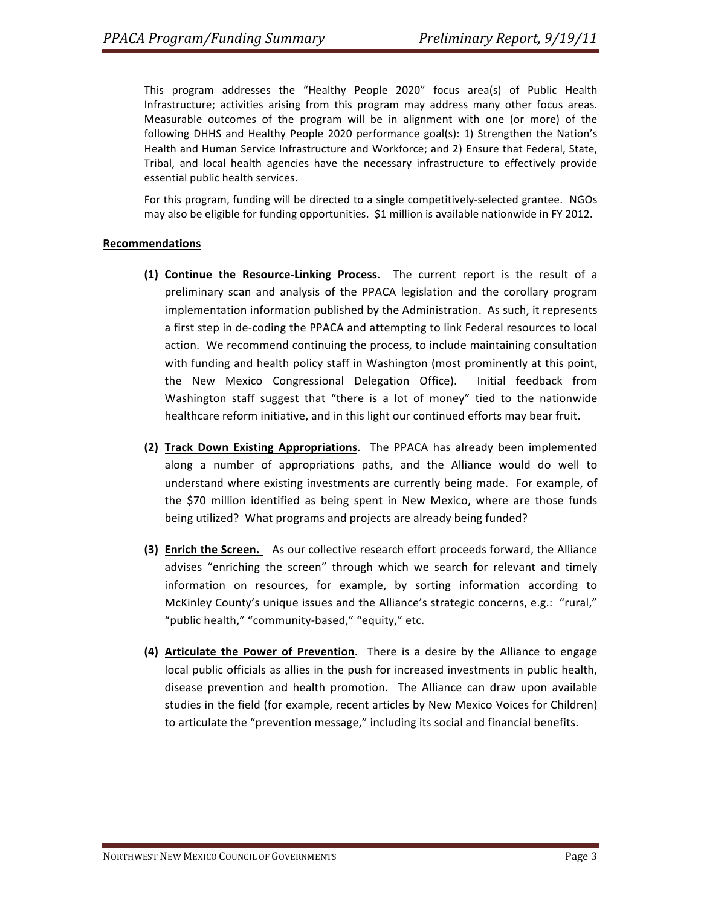This program addresses the "Healthy People 2020" focus area(s) of Public Health Infrastructure; activities arising from this program may address many other focus areas. Measurable outcomes of the program will be in alignment with one (or more) of the following DHHS and Healthy People 2020 performance goal(s): 1) Strengthen the Nation's Health and Human Service Infrastructure and Workforce; and 2) Ensure that Federal, State, Tribal, and local health agencies have the necessary infrastructure to effectively provide essential public health services.

For this program, funding will be directed to a single competitively-selected grantee. NGOs may also be eligible for funding opportunities. \$1 million is available nationwide in FY 2012.

### **Recommendations**

- **(1) Continue the Resource-Linking Process.** The current report is the result of a preliminary scan and analysis of the PPACA legislation and the corollary program implementation information published by the Administration. As such, it represents a first step in de-coding the PPACA and attempting to link Federal resources to local action. We recommend continuing the process, to include maintaining consultation with funding and health policy staff in Washington (most prominently at this point, the New Mexico Congressional Delegation Office). Initial feedback from Washington staff suggest that "there is a lot of money" tied to the nationwide healthcare reform initiative, and in this light our continued efforts may bear fruit.
- **(2) Track Down Existing Appropriations**. The PPACA has already been implemented along a number of appropriations paths, and the Alliance would do well to understand where existing investments are currently being made. For example, of the \$70 million identified as being spent in New Mexico, where are those funds being utilized? What programs and projects are already being funded?
- **(3) Enrich the Screen.** As our collective research effort proceeds forward, the Alliance advises "enriching the screen" through which we search for relevant and timely information on resources, for example, by sorting information according to McKinley County's unique issues and the Alliance's strategic concerns, e.g.: "rural," "public health," "community-based," "equity," etc.
- **(4) Articulate the Power of Prevention**. There is a desire by the Alliance to engage local public officials as allies in the push for increased investments in public health, disease prevention and health promotion. The Alliance can draw upon available studies in the field (for example, recent articles by New Mexico Voices for Children) to articulate the "prevention message," including its social and financial benefits.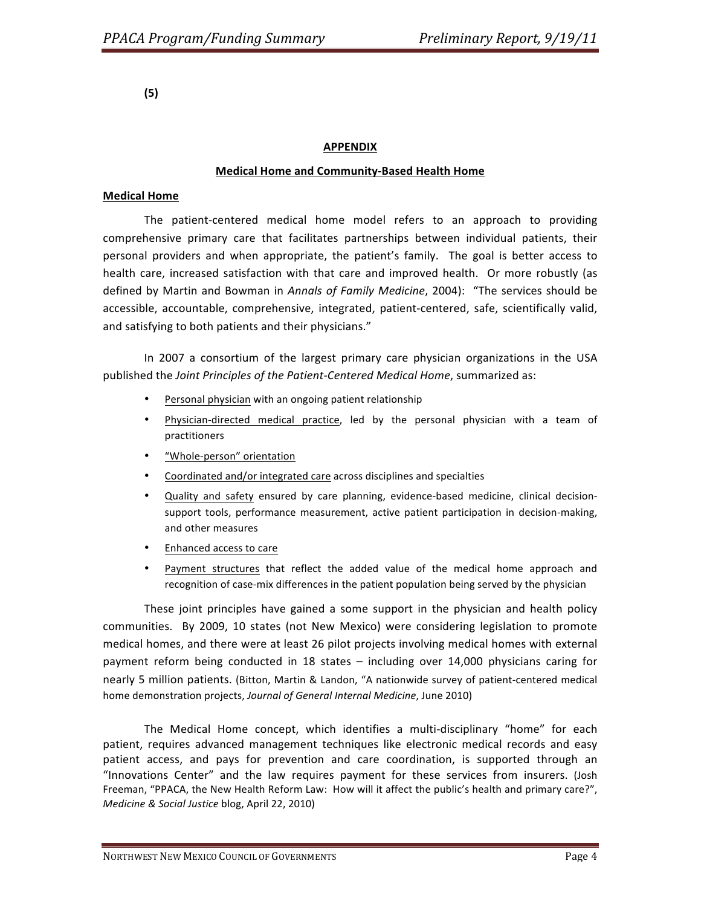**(5)**

# **APPENDIX**

## **Medical Home and Community-Based Health Home**

## **Medical Home**

The patient-centered medical home model refers to an approach to providing comprehensive primary care that facilitates partnerships between individual patients, their personal providers and when appropriate, the patient's family. The goal is better access to health care, increased satisfaction with that care and improved health. Or more robustly (as defined by Martin and Bowman in *Annals of Family Medicine*, 2004): "The services should be accessible, accountable, comprehensive, integrated, patient-centered, safe, scientifically valid, and satisfying to both patients and their physicians."

In 2007 a consortium of the largest primary care physician organizations in the USA published the *Joint Principles of the Patient-Centered Medical Home*, summarized as:

- Personal physician with an ongoing patient relationship
- Physician-directed medical practice, led by the personal physician with a team of practitioners
- "Whole-person" orientation
- Coordinated and/or integrated care across disciplines and specialties
- Quality and safety ensured by care planning, evidence-based medicine, clinical decisionsupport tools, performance measurement, active patient participation in decision-making, and other measures
- Enhanced access to care
- Payment structures that reflect the added value of the medical home approach and recognition of case-mix differences in the patient population being served by the physician

These joint principles have gained a some support in the physician and health policy communities. By 2009, 10 states (not New Mexico) were considering legislation to promote medical homes, and there were at least 26 pilot projects involving medical homes with external payment reform being conducted in 18 states – including over 14,000 physicians caring for nearly 5 million patients. (Bitton, Martin & Landon, "A nationwide survey of patient-centered medical home demonstration projects, Journal of General Internal Medicine, June 2010)

The Medical Home concept, which identifies a multi-disciplinary "home" for each patient, requires advanced management techniques like electronic medical records and easy patient access, and pays for prevention and care coordination, is supported through an "Innovations Center" and the law requires payment for these services from insurers. (Josh Freeman, "PPACA, the New Health Reform Law: How will it affect the public's health and primary care?", *Medicine & Social Justice blog, April 22, 2010)*